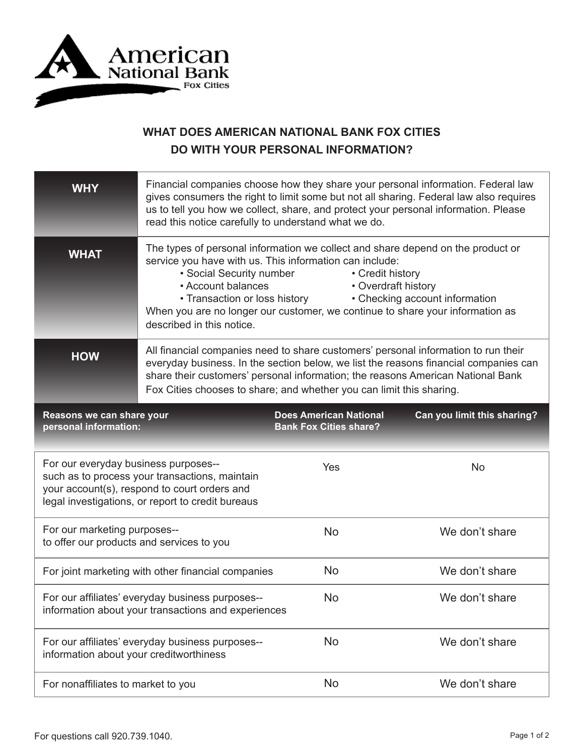

## **WHAT DOES AMERICAN NATIONAL BANK FOX CITIES DO WITH YOUR PERSONAL INFORMATION?**

| <b>WHY</b>                                                                                                                                                                                  | Financial companies choose how they share your personal information. Federal law<br>gives consumers the right to limit some but not all sharing. Federal law also requires<br>us to tell you how we collect, share, and protect your personal information. Please<br>read this notice carefully to understand what we do.                                                                                                |                                                                |                             |
|---------------------------------------------------------------------------------------------------------------------------------------------------------------------------------------------|--------------------------------------------------------------------------------------------------------------------------------------------------------------------------------------------------------------------------------------------------------------------------------------------------------------------------------------------------------------------------------------------------------------------------|----------------------------------------------------------------|-----------------------------|
| <b>WHAT</b>                                                                                                                                                                                 | The types of personal information we collect and share depend on the product or<br>service you have with us. This information can include:<br>• Social Security number<br>• Credit history<br>• Account balances<br>• Overdraft history<br>• Checking account information<br>• Transaction or loss history<br>When you are no longer our customer, we continue to share your information as<br>described in this notice. |                                                                |                             |
| <b>HOW</b>                                                                                                                                                                                  | All financial companies need to share customers' personal information to run their<br>everyday business. In the section below, we list the reasons financial companies can<br>share their customers' personal information; the reasons American National Bank<br>Fox Cities chooses to share; and whether you can limit this sharing.                                                                                    |                                                                |                             |
| Reasons we can share your<br>personal information:                                                                                                                                          |                                                                                                                                                                                                                                                                                                                                                                                                                          | <b>Does American National</b><br><b>Bank Fox Cities share?</b> | Can you limit this sharing? |
| For our everyday business purposes--<br>such as to process your transactions, maintain<br>your account(s), respond to court orders and<br>legal investigations, or report to credit bureaus |                                                                                                                                                                                                                                                                                                                                                                                                                          | Yes                                                            | <b>No</b>                   |
| For our marketing purposes--<br>to offer our products and services to you                                                                                                                   |                                                                                                                                                                                                                                                                                                                                                                                                                          | <b>No</b>                                                      | We don't share              |
| For joint marketing with other financial companies                                                                                                                                          |                                                                                                                                                                                                                                                                                                                                                                                                                          | <b>No</b>                                                      | We don't share              |
| For our affiliates' everyday business purposes--<br>information about your transactions and experiences                                                                                     |                                                                                                                                                                                                                                                                                                                                                                                                                          | No                                                             | We don't share              |
| For our affiliates' everyday business purposes--<br>information about your creditworthiness                                                                                                 |                                                                                                                                                                                                                                                                                                                                                                                                                          | <b>No</b>                                                      | We don't share              |
|                                                                                                                                                                                             |                                                                                                                                                                                                                                                                                                                                                                                                                          |                                                                |                             |